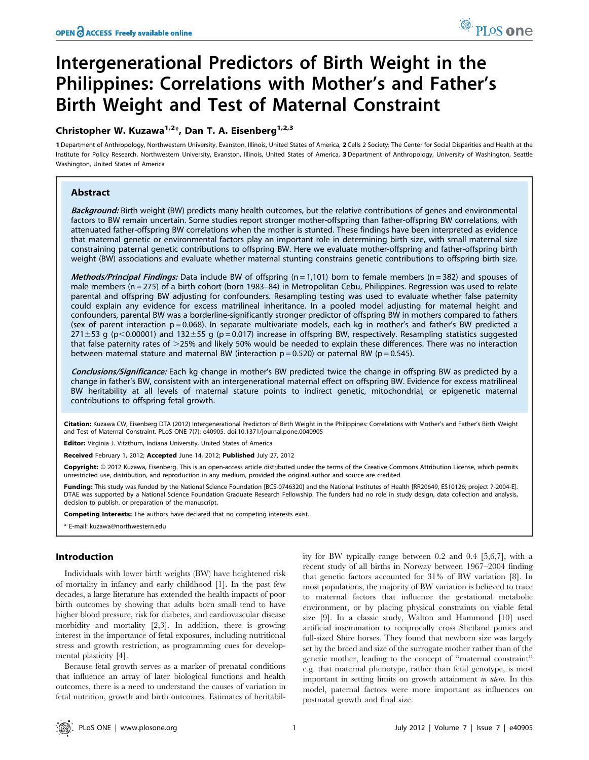# Intergenerational Predictors of Birth Weight in the Philippines: Correlations with Mother's and Father's Birth Weight and Test of Maternal Constraint

## Christopher W. Kuzawa<sup>1,2\*</sup>, Dan T. A. Eisenberg<sup>1,2,3</sup>

1 Department of Anthropology, Northwestern University, Evanston, Illinois, United States of America, 2 Cells 2 Society: The Center for Social Disparities and Health at the Institute for Policy Research, Northwestern University, Evanston, Illinois, United States of America, 3 Department of Anthropology, University of Washington, Seattle Washington, United States of America

# Abstract

Background: Birth weight (BW) predicts many health outcomes, but the relative contributions of genes and environmental factors to BW remain uncertain. Some studies report stronger mother-offspring than father-offspring BW correlations, with attenuated father-offspring BW correlations when the mother is stunted. These findings have been interpreted as evidence that maternal genetic or environmental factors play an important role in determining birth size, with small maternal size constraining paternal genetic contributions to offspring BW. Here we evaluate mother-offspring and father-offspring birth weight (BW) associations and evaluate whether maternal stunting constrains genetic contributions to offspring birth size.

Methods/Principal Findings: Data include BW of offspring ( $n = 1,101$ ) born to female members ( $n = 382$ ) and spouses of male members (n = 275) of a birth cohort (born 1983–84) in Metropolitan Cebu, Philippines. Regression was used to relate parental and offspring BW adjusting for confounders. Resampling testing was used to evaluate whether false paternity could explain any evidence for excess matrilineal inheritance. In a pooled model adjusting for maternal height and confounders, parental BW was a borderline-significantly stronger predictor of offspring BW in mothers compared to fathers (sex of parent interaction p = 0.068). In separate multivariate models, each kg in mother's and father's BW predicted a  $271\pm53$  g (p<0.00001) and 132 $\pm55$  g (p = 0.017) increase in offspring BW, respectively. Resampling statistics suggested that false paternity rates of  $>$ 25% and likely 50% would be needed to explain these differences. There was no interaction between maternal stature and maternal BW (interaction  $p = 0.520$ ) or paternal BW ( $p = 0.545$ ).

Conclusions/Significance: Each kg change in mother's BW predicted twice the change in offspring BW as predicted by a change in father's BW, consistent with an intergenerational maternal effect on offspring BW. Evidence for excess matrilineal BW heritability at all levels of maternal stature points to indirect genetic, mitochondrial, or epigenetic maternal contributions to offspring fetal growth.

Citation: Kuzawa CW, Eisenberg DTA (2012) Intergenerational Predictors of Birth Weight in the Philippines: Correlations with Mother's and Father's Birth Weight and Test of Maternal Constraint. PLoS ONE 7(7): e40905. doi:10.1371/journal.pone.0040905

Editor: Virginia J. Vitzthum, Indiana University, United States of America

Received February 1, 2012; Accepted June 14, 2012; Published July 27, 2012

**Copyright:** © 2012 Kuzawa, Eisenberg. This is an open-access article distributed under the terms of the Creative Commons Attribution License, which permits unrestricted use, distribution, and reproduction in any medium, provided the original author and source are credited.

Funding: This study was funded by the National Science Foundation [BCS-0746320] and the National Institutes of Health [RR20649, ES10126; project 7-2004-E]. DTAE was supported by a National Science Foundation Graduate Research Fellowship. The funders had no role in study design, data collection and analysis, decision to publish, or preparation of the manuscript.

Competing Interests: The authors have declared that no competing interests exist.

E-mail: kuzawa@northwestern.edu

## Introduction

Individuals with lower birth weights (BW) have heightened risk of mortality in infancy and early childhood [1]. In the past few decades, a large literature has extended the health impacts of poor birth outcomes by showing that adults born small tend to have higher blood pressure, risk for diabetes, and cardiovascular disease morbidity and mortality [2,3]. In addition, there is growing interest in the importance of fetal exposures, including nutritional stress and growth restriction, as programming cues for developmental plasticity [4].

Because fetal growth serves as a marker of prenatal conditions that influence an array of later biological functions and health outcomes, there is a need to understand the causes of variation in fetal nutrition, growth and birth outcomes. Estimates of heritability for BW typically range between 0.2 and 0.4 [5,6,7], with a recent study of all births in Norway between 1967–2004 finding that genetic factors accounted for 31% of BW variation [8]. In most populations, the majority of BW variation is believed to trace to maternal factors that influence the gestational metabolic environment, or by placing physical constraints on viable fetal size [9]. In a classic study, Walton and Hammond [10] used artificial insemination to reciprocally cross Shetland ponies and full-sized Shire horses. They found that newborn size was largely set by the breed and size of the surrogate mother rather than of the genetic mother, leading to the concept of ''maternal constraint'' e.g. that maternal phenotype, rather than fetal genotype, is most important in setting limits on growth attainment in utero. In this model, paternal factors were more important as influences on postnatal growth and final size.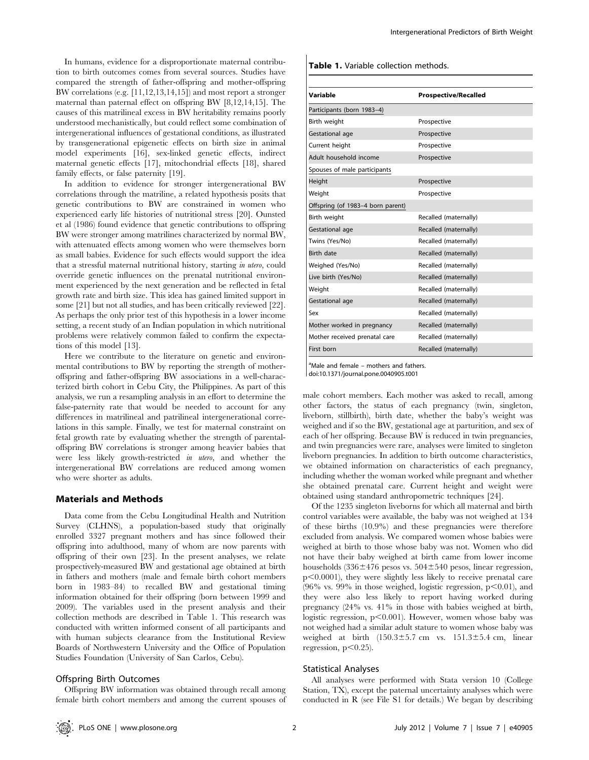In humans, evidence for a disproportionate maternal contribution to birth outcomes comes from several sources. Studies have compared the strength of father-offspring and mother-offspring BW correlations (e.g. [11,12,13,14,15]) and most report a stronger maternal than paternal effect on offspring BW [8,12,14,15]. The causes of this matrilineal excess in BW heritability remains poorly understood mechanistically, but could reflect some combination of intergenerational influences of gestational conditions, as illustrated by transgenerational epigenetic effects on birth size in animal model experiments [16], sex-linked genetic effects, indirect maternal genetic effects [17], mitochondrial effects [18], shared family effects, or false paternity [19].

In addition to evidence for stronger intergenerational BW correlations through the matriline, a related hypothesis posits that genetic contributions to BW are constrained in women who experienced early life histories of nutritional stress [20]. Ounsted et al (1986) found evidence that genetic contributions to offspring BW were stronger among matrilines characterized by normal BW, with attenuated effects among women who were themselves born as small babies. Evidence for such effects would support the idea that a stressful maternal nutritional history, starting in utero, could override genetic influences on the prenatal nutritional environment experienced by the next generation and be reflected in fetal growth rate and birth size. This idea has gained limited support in some [21] but not all studies, and has been critically reviewed [22]. As perhaps the only prior test of this hypothesis in a lower income setting, a recent study of an Indian population in which nutritional problems were relatively common failed to confirm the expectations of this model [13].

Here we contribute to the literature on genetic and environmental contributions to BW by reporting the strength of motheroffspring and father-offspring BW associations in a well-characterized birth cohort in Cebu City, the Philippines. As part of this analysis, we run a resampling analysis in an effort to determine the false-paternity rate that would be needed to account for any differences in matrilineal and patrilineal intergenerational correlations in this sample. Finally, we test for maternal constraint on fetal growth rate by evaluating whether the strength of parentaloffspring BW correlations is stronger among heavier babies that were less likely growth-restricted in utero, and whether the intergenerational BW correlations are reduced among women who were shorter as adults.

## Materials and Methods

Data come from the Cebu Longitudinal Health and Nutrition Survey (CLHNS), a population-based study that originally enrolled 3327 pregnant mothers and has since followed their offspring into adulthood, many of whom are now parents with offspring of their own [23]. In the present analyses, we relate prospectively-measured BW and gestational age obtained at birth in fathers and mothers (male and female birth cohort members born in 1983–84) to recalled BW and gestational timing information obtained for their offspring (born between 1999 and 2009). The variables used in the present analysis and their collection methods are described in Table 1. This research was conducted with written informed consent of all participants and with human subjects clearance from the Institutional Review Boards of Northwestern University and the Office of Population Studies Foundation (University of San Carlos, Cebu).

#### Offspring Birth Outcomes

Offspring BW information was obtained through recall among female birth cohort members and among the current spouses of Table 1. Variable collection methods.

| Variable                          | <b>Prospective/Recalled</b> |
|-----------------------------------|-----------------------------|
| Participants (born 1983-4)        |                             |
| Birth weight                      | Prospective                 |
| <b>Gestational age</b>            | Prospective                 |
| Current height                    | Prospective                 |
| Adult household income            | Prospective                 |
| Spouses of male participants      |                             |
| Height                            | Prospective                 |
| Weight                            | Prospective                 |
| Offspring (of 1983-4 born parent) |                             |
| Birth weight                      | Recalled (maternally)       |
| Gestational age                   | Recalled (maternally)       |
| Twins (Yes/No)                    | Recalled (maternally)       |
| <b>Birth date</b>                 | Recalled (maternally)       |
| Weighed (Yes/No)                  | Recalled (maternally)       |
| Live birth (Yes/No)               | Recalled (maternally)       |
| Weight                            | Recalled (maternally)       |
| Gestational age                   | Recalled (maternally)       |
| Sex                               | Recalled (maternally)       |
| Mother worked in pregnancy        | Recalled (maternally)       |
| Mother received prenatal care     | Recalled (maternally)       |
| First born                        | Recalled (maternally)       |

<sup>a</sup>Male and female - mothers and fathers.

doi:10.1371/journal.pone.0040905.t001

male cohort members. Each mother was asked to recall, among other factors, the status of each pregnancy (twin, singleton, liveborn, stillbirth), birth date, whether the baby's weight was weighed and if so the BW, gestational age at parturition, and sex of each of her offspring. Because BW is reduced in twin pregnancies, and twin pregnancies were rare, analyses were limited to singleton liveborn pregnancies. In addition to birth outcome characteristics, we obtained information on characteristics of each pregnancy, including whether the woman worked while pregnant and whether she obtained prenatal care. Current height and weight were obtained using standard anthropometric techniques [24].

Of the 1235 singleton liveborns for which all maternal and birth control variables were available, the baby was not weighed at 134 of these births (10.9%) and these pregnancies were therefore excluded from analysis. We compared women whose babies were weighed at birth to those whose baby was not. Women who did not have their baby weighed at birth came from lower income households  $(336\pm476)$  pesos vs.  $504\pm540$  pesos, linear regression,  $p<0.0001$ ), they were slightly less likely to receive prenatal care  $(96\%$  vs. 99% in those weighed, logistic regression,  $p<0.01$ ), and they were also less likely to report having worked during pregnancy (24% vs. 41% in those with babies weighed at birth, logistic regression,  $p<0.001$ ). However, women whose baby was not weighed had a similar adult stature to women whose baby was weighed at birth  $(150.3\pm5.7 \text{ cm}$  vs.  $151.3\pm5.4 \text{ cm}$ , linear regression,  $p<0.25$ ).

#### Statistical Analyses

All analyses were performed with Stata version 10 (College Station, TX), except the paternal uncertainty analyses which were conducted in R (see File S1 for details.) We began by describing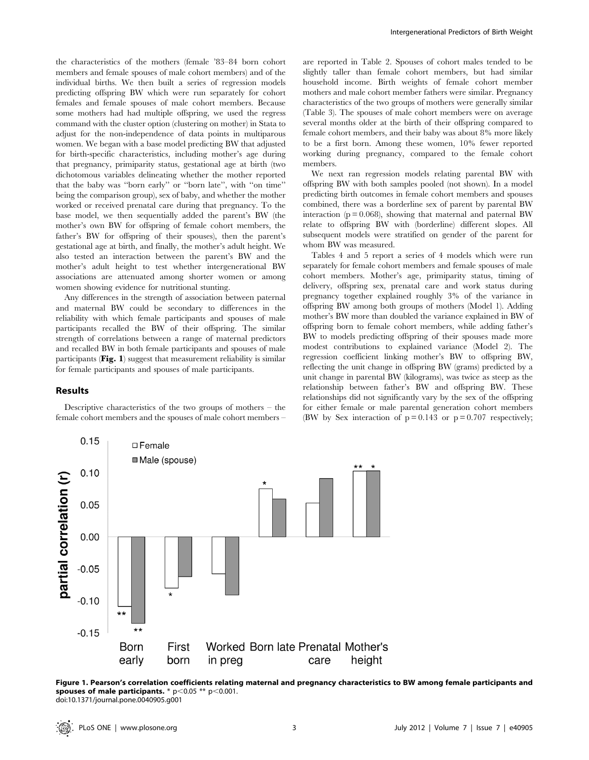the characteristics of the mothers (female '83–84 born cohort members and female spouses of male cohort members) and of the individual births. We then built a series of regression models predicting offspring BW which were run separately for cohort females and female spouses of male cohort members. Because some mothers had had multiple offspring, we used the regress command with the cluster option (clustering on mother) in Stata to adjust for the non-independence of data points in multiparous women. We began with a base model predicting BW that adjusted for birth-specific characteristics, including mother's age during that pregnancy, primiparity status, gestational age at birth (two dichotomous variables delineating whether the mother reported that the baby was ''born early'' or ''born late'', with ''on time'' being the comparison group), sex of baby, and whether the mother worked or received prenatal care during that pregnancy. To the base model, we then sequentially added the parent's BW (the mother's own BW for offspring of female cohort members, the father's BW for offspring of their spouses), then the parent's gestational age at birth, and finally, the mother's adult height. We also tested an interaction between the parent's BW and the mother's adult height to test whether intergenerational BW associations are attenuated among shorter women or among women showing evidence for nutritional stunting.

Any differences in the strength of association between paternal and maternal BW could be secondary to differences in the reliability with which female participants and spouses of male participants recalled the BW of their offspring. The similar strength of correlations between a range of maternal predictors and recalled BW in both female participants and spouses of male participants (Fig. 1) suggest that measurement reliability is similar for female participants and spouses of male participants.

#### Results

Descriptive characteristics of the two groups of mothers – the female cohort members and the spouses of male cohort members –

are reported in Table 2. Spouses of cohort males tended to be slightly taller than female cohort members, but had similar household income. Birth weights of female cohort member mothers and male cohort member fathers were similar. Pregnancy characteristics of the two groups of mothers were generally similar (Table 3). The spouses of male cohort members were on average several months older at the birth of their offspring compared to female cohort members, and their baby was about 8% more likely to be a first born. Among these women, 10% fewer reported working during pregnancy, compared to the female cohort members.

We next ran regression models relating parental BW with offspring BW with both samples pooled (not shown). In a model predicting birth outcomes in female cohort members and spouses combined, there was a borderline sex of parent by parental BW interaction ( $p = 0.068$ ), showing that maternal and paternal BW relate to offspring BW with (borderline) different slopes. All subsequent models were stratified on gender of the parent for whom BW was measured.

Tables 4 and 5 report a series of 4 models which were run separately for female cohort members and female spouses of male cohort members. Mother's age, primiparity status, timing of delivery, offspring sex, prenatal care and work status during pregnancy together explained roughly 3% of the variance in offspring BW among both groups of mothers (Model 1). Adding mother's BW more than doubled the variance explained in BW of offspring born to female cohort members, while adding father's BW to models predicting offspring of their spouses made more modest contributions to explained variance (Model 2). The regression coefficient linking mother's BW to offspring BW, reflecting the unit change in offspring BW (grams) predicted by a unit change in parental BW (kilograms), was twice as steep as the relationship between father's BW and offspring BW. These relationships did not significantly vary by the sex of the offspring for either female or male parental generation cohort members (BW by Sex interaction of  $p = 0.143$  or  $p = 0.707$  respectively;



Figure 1. Pearson's correlation coefficients relating maternal and pregnancy characteristics to BW among female participants and spouses of male participants. \*  $p<0.05$  \*\*  $p<0.001$ . doi:10.1371/journal.pone.0040905.g001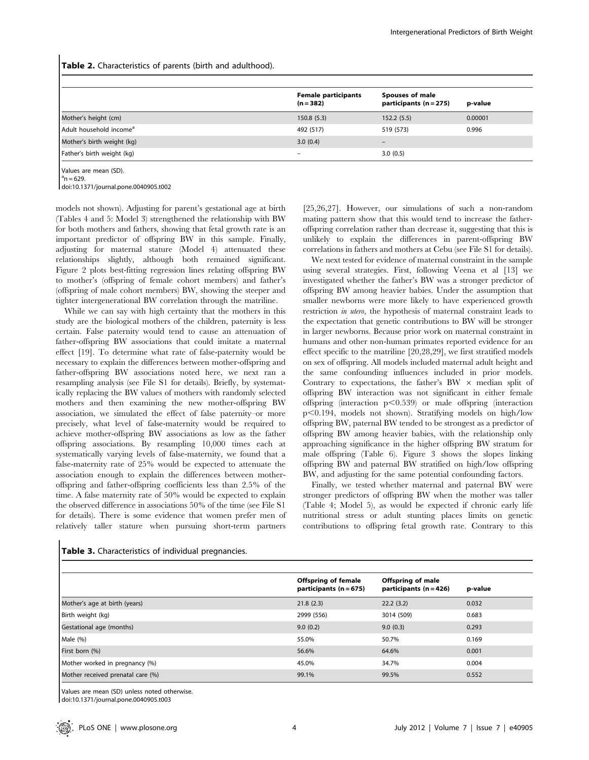Table 2. Characteristics of parents (birth and adulthood).

|                                     | <b>Female participants</b><br>$(n = 382)$ | Spouses of male<br>participants $(n = 275)$ | p-value |
|-------------------------------------|-------------------------------------------|---------------------------------------------|---------|
| Mother's height (cm)                | 150.8(5.3)                                | 152.2(5.5)                                  | 0.00001 |
| Adult household income <sup>a</sup> | 492 (517)                                 | 519 (573)                                   | 0.996   |
| Mother's birth weight (kg)          | 3.0(0.4)                                  | -                                           |         |
| Father's birth weight (kg)          |                                           | 3.0(0.5)                                    |         |

Values are mean (SD).

 $a$ <sup>a</sup>n = 629.

doi:10.1371/journal.pone.0040905.t002

models not shown). Adjusting for parent's gestational age at birth (Tables 4 and 5: Model 3) strengthened the relationship with BW for both mothers and fathers, showing that fetal growth rate is an important predictor of offspring BW in this sample. Finally, adjusting for maternal stature (Model 4) attenuated these relationships slightly, although both remained significant. Figure 2 plots best-fitting regression lines relating offspring BW to mother's (offspring of female cohort members) and father's (offspring of male cohort members) BW, showing the steeper and tighter intergenerational BW correlation through the matriline.

While we can say with high certainty that the mothers in this study are the biological mothers of the children, paternity is less certain. False paternity would tend to cause an attenuation of father-offspring BW associations that could imitate a maternal effect [19]. To determine what rate of false-paternity would be necessary to explain the differences between mother-offspring and father-offspring BW associations noted here, we next ran a resampling analysis (see File S1 for details). Briefly, by systematically replacing the BW values of mothers with randomly selected mothers and then examining the new mother-offspring BW association, we simulated the effect of false paternity–or more precisely, what level of false-maternity would be required to achieve mother-offspring BW associations as low as the father offspring associations. By resampling 10,000 times each at systematically varying levels of false-maternity, we found that a false-maternity rate of 25% would be expected to attenuate the association enough to explain the differences between motheroffspring and father-offspring coefficients less than 2.5% of the time. A false maternity rate of 50% would be expected to explain the observed difference in associations 50% of the time (see File S1 for details). There is some evidence that women prefer men of relatively taller stature when pursuing short-term partners

[25,26,27]. However, our simulations of such a non-random mating pattern show that this would tend to increase the fatheroffspring correlation rather than decrease it, suggesting that this is unlikely to explain the differences in parent-offspring BW correlations in fathers and mothers at Cebu (see File S1 for details).

We next tested for evidence of maternal constraint in the sample using several strategies. First, following Veena et al [13] we investigated whether the father's BW was a stronger predictor of offspring BW among heavier babies. Under the assumption that smaller newborns were more likely to have experienced growth restriction in utero, the hypothesis of maternal constraint leads to the expectation that genetic contributions to BW will be stronger in larger newborns. Because prior work on maternal constraint in humans and other non-human primates reported evidence for an effect specific to the matriline [20,28,29], we first stratified models on sex of offspring. All models included maternal adult height and the same confounding influences included in prior models. Contrary to expectations, the father's BW  $\times$  median split of offspring BW interaction was not significant in either female offspring (interaction  $p<0.539$ ) or male offspring (interaction  $p<0.194$ , models not shown). Stratifying models on high/low offspring BW, paternal BW tended to be strongest as a predictor of offspring BW among heavier babies, with the relationship only approaching significance in the higher offspring BW stratum for male offspring (Table 6). Figure 3 shows the slopes linking offspring BW and paternal BW stratified on high/low offspring BW, and adjusting for the same potential confounding factors.

Finally, we tested whether maternal and paternal BW were stronger predictors of offspring BW when the mother was taller (Table 4; Model 5), as would be expected if chronic early life nutritional stress or adult stunting places limits on genetic contributions to offspring fetal growth rate. Contrary to this

|                                   | <b>Offspring of female</b><br>participants (n = 675) | Offspring of male<br>participants (n = 426) | p-value |
|-----------------------------------|------------------------------------------------------|---------------------------------------------|---------|
| Mother's age at birth (years)     | 21.8(2.3)                                            | 22.2(3.2)                                   | 0.032   |
| Birth weight (kg)                 | 2999 (556)                                           | 3014 (509)                                  | 0.683   |
| Gestational age (months)          | 9.0(0.2)                                             | 9.0(0.3)                                    | 0.293   |
| Male $(\%)$                       | 55.0%                                                | 50.7%                                       | 0.169   |
| First born (%)                    | 56.6%                                                | 64.6%                                       | 0.001   |
| Mother worked in pregnancy (%)    | 45.0%                                                | 34.7%                                       | 0.004   |
| Mother received prenatal care (%) | 99.1%                                                | 99.5%                                       | 0.552   |

Table 3. Characteristics of individual pregnancies.

Values are mean (SD) unless noted otherwise.

doi:10.1371/journal.pone.0040905.t003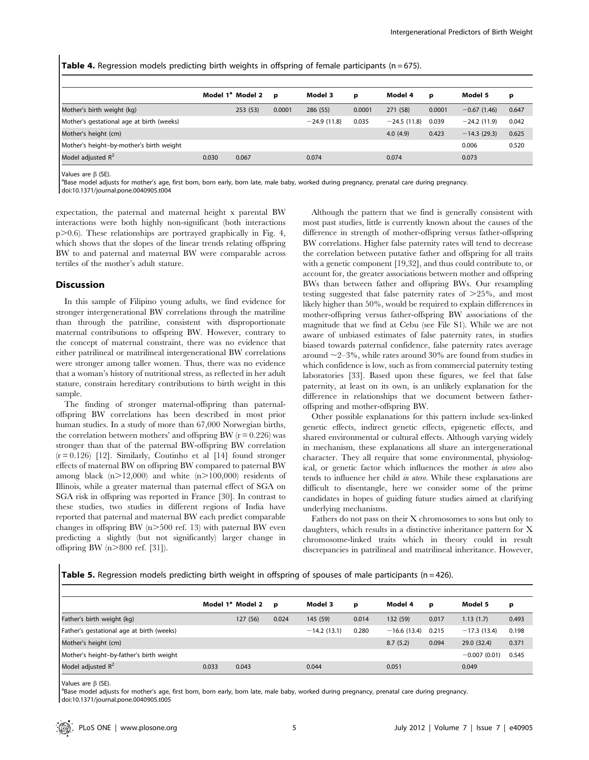**Table 4.** Regression models predicting birth weights in offspring of female participants ( $n = 675$ ).

|                                           |       | Model 1 <sup>ª</sup> Model 2 p |        | Model 3       | р      | Model 4       | p      | Model 5       | р     |
|-------------------------------------------|-------|--------------------------------|--------|---------------|--------|---------------|--------|---------------|-------|
| Mother's birth weight (kg)                |       | 253(53)                        | 0.0001 | 286 (55)      | 0.0001 | 271 (58)      | 0.0001 | $-0.67(1.46)$ | 0.647 |
| Mother's gestational age at birth (weeks) |       |                                |        | $-24.9(11.8)$ | 0.035  | $-24.5(11.8)$ | 0.039  | $-24.2(11.9)$ | 0.042 |
| Mother's height (cm)                      |       |                                |        |               |        | 4.0(4.9)      | 0.423  | $-14.3(29.3)$ | 0.625 |
| Mother's height-by-mother's birth weight  |       |                                |        |               |        |               |        | 0.006         | 0.520 |
| Model adjusted $R^2$                      | 0.030 | 0.067                          |        | 0.074         |        | 0.074         |        | 0.073         |       |

Values are  $\beta$  (SE).

<sup>a</sup>Base model adjusts for mother's age, first born, born early, born late, male baby, worked during pregnancy, prenatal care during pregnancy

doi:10.1371/journal.pone.0040905.t004

expectation, the paternal and maternal height x parental BW interactions were both highly non-significant (both interactions  $p>0.6$ ). These relationships are portrayed graphically in Fig. 4, which shows that the slopes of the linear trends relating offspring BW to and paternal and maternal BW were comparable across tertiles of the mother's adult stature.

#### **Discussion**

In this sample of Filipino young adults, we find evidence for stronger intergenerational BW correlations through the matriline than through the patriline, consistent with disproportionate maternal contributions to offspring BW. However, contrary to the concept of maternal constraint, there was no evidence that either patrilineal or matrilineal intergenerational BW correlations were stronger among taller women. Thus, there was no evidence that a woman's history of nutritional stress, as reflected in her adult stature, constrain hereditary contributions to birth weight in this sample.

The finding of stronger maternal-offspring than paternaloffspring BW correlations has been described in most prior human studies. In a study of more than 67,000 Norwegian births, the correlation between mothers' and offspring BW  $(r = 0.226)$  was stronger than that of the paternal BW-offspring BW correlation  $(r = 0.126)$  [12]. Similarly, Coutinho et al [14] found stronger effects of maternal BW on offspring BW compared to paternal BW among black  $(n>12,000)$  and white  $(n>100,000)$  residents of Illinois, while a greater maternal than paternal effect of SGA on SGA risk in offspring was reported in France [30]. In contrast to these studies, two studies in different regions of India have reported that paternal and maternal BW each predict comparable changes in offspring BW  $(n>500 \text{ ref. } 13)$  with paternal BW even predicting a slightly (but not significantly) larger change in offspring BW  $(n>800 \text{ ref.} [31])$ .

Although the pattern that we find is generally consistent with most past studies, little is currently known about the causes of the difference in strength of mother-offspring versus father-offspring BW correlations. Higher false paternity rates will tend to decrease the correlation between putative father and offspring for all traits with a genetic component [19,32], and thus could contribute to, or account for, the greater associations between mother and offspring BWs than between father and offspring BWs. Our resampling testing suggested that false paternity rates of  $\geq$  25%, and most likely higher than 50%, would be required to explain differences in mother-offspring versus father-offspring BW associations of the magnitude that we find at Cebu (see File S1). While we are not aware of unbiased estimates of false paternity rates, in studies biased towards paternal confidence, false paternity rates average around  $\sim$  2–3%, while rates around 30% are found from studies in which confidence is low, such as from commercial paternity testing laboratories [33]. Based upon these figures, we feel that false paternity, at least on its own, is an unlikely explanation for the difference in relationships that we document between fatheroffspring and mother-offspring BW.

Other possible explanations for this pattern include sex-linked genetic effects, indirect genetic effects, epigenetic effects, and shared environmental or cultural effects. Although varying widely in mechanism, these explanations all share an intergenerational character. They all require that some environmental, physiological, or genetic factor which influences the mother in utero also tends to influence her child in utero. While these explanations are difficult to disentangle, here we consider some of the prime candidates in hopes of guiding future studies aimed at clarifying underlying mechanisms.

Fathers do not pass on their X chromosomes to sons but only to daughters, which results in a distinctive inheritance pattern for X chromosome-linked traits which in theory could in result discrepancies in patrilineal and matrilineal inheritance. However,

Table 5. Regression models predicting birth weight in offspring of spouses of male participants ( $n = 426$ ).

|                                           |       | Model 1 <sup>ª</sup> Model 2 p |       | Model 3       | р     | Model 4       | p     | Model 5        | р     |
|-------------------------------------------|-------|--------------------------------|-------|---------------|-------|---------------|-------|----------------|-------|
| Father's birth weight (kg)                |       | 127 (56)                       | 0.024 | 145 (59)      | 0.014 | 132 (59)      | 0.017 | 1.13(1.7)      | 0.493 |
| Father's gestational age at birth (weeks) |       |                                |       | $-14.2(13.1)$ | 0.280 | $-16.6(13.4)$ | 0.215 | $-17.3(13.4)$  | 0.198 |
| Mother's height (cm)                      |       |                                |       |               |       | 8.7(5.2)      | 0.094 | 29.0 (32.4)    | 0.371 |
| Mother's height-by-father's birth weight  |       |                                |       |               |       |               |       | $-0.007(0.01)$ | 0.545 |
| Model adjusted $R^2$                      | 0.033 | 0.043                          |       | 0.044         |       | 0.051         |       | 0.049          |       |

Values are  $\beta$  (SE).

a<br>Base model adjusts for mother's age, first born, born early, born late, male baby, worked during pregnancy, prenatal care during pregnancy. doi:10.1371/journal.pone.0040905.t005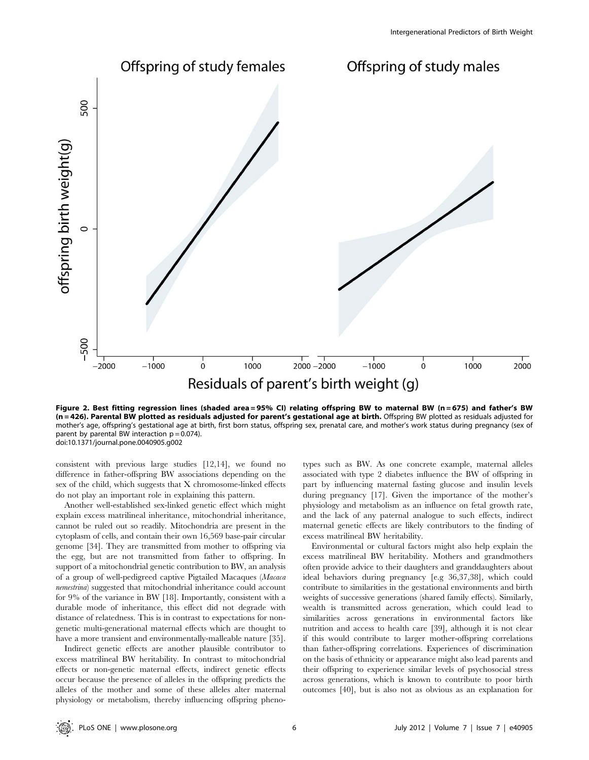

Figure 2. Best fitting regression lines (shaded area = 95% CI) relating offspring BW to maternal BW (n = 675) and father's BW (n = 426). Parental BW plotted as residuals adjusted for parent's gestational age at birth. Offspring BW plotted as residuals adjusted for mother's age, offspring's gestational age at birth, first born status, offspring sex, prenatal care, and mother's work status during pregnancy (sex of parent by parental BW interaction  $p = 0.074$ ). doi:10.1371/journal.pone.0040905.g002

consistent with previous large studies [12,14], we found no difference in father-offspring BW associations depending on the sex of the child, which suggests that X chromosome-linked effects do not play an important role in explaining this pattern.

Another well-established sex-linked genetic effect which might explain excess matrilineal inheritance, mitochondrial inheritance, cannot be ruled out so readily. Mitochondria are present in the cytoplasm of cells, and contain their own 16,569 base-pair circular genome [34]. They are transmitted from mother to offspring via the egg, but are not transmitted from father to offspring. In support of a mitochondrial genetic contribution to BW, an analysis of a group of well-pedigreed captive Pigtailed Macaques (Macaca nemestrina) suggested that mitochondrial inheritance could account for 9% of the variance in BW [18]. Importantly, consistent with a durable mode of inheritance, this effect did not degrade with distance of relatedness. This is in contrast to expectations for nongenetic multi-generational maternal effects which are thought to have a more transient and environmentally-malleable nature [35].

Indirect genetic effects are another plausible contributor to excess matrilineal BW heritability. In contrast to mitochondrial effects or non-genetic maternal effects, indirect genetic effects occur because the presence of alleles in the offspring predicts the alleles of the mother and some of these alleles alter maternal physiology or metabolism, thereby influencing offspring phenotypes such as BW. As one concrete example, maternal alleles associated with type 2 diabetes influence the BW of offspring in part by influencing maternal fasting glucose and insulin levels during pregnancy [17]. Given the importance of the mother's physiology and metabolism as an influence on fetal growth rate, and the lack of any paternal analogue to such effects, indirect maternal genetic effects are likely contributors to the finding of excess matrilineal BW heritability.

Environmental or cultural factors might also help explain the excess matrilineal BW heritability. Mothers and grandmothers often provide advice to their daughters and granddaughters about ideal behaviors during pregnancy [e.g 36,37,38], which could contribute to similarities in the gestational environments and birth weights of successive generations (shared family effects). Similarly, wealth is transmitted across generation, which could lead to similarities across generations in environmental factors like nutrition and access to health care [39], although it is not clear if this would contribute to larger mother-offspring correlations than father-offspring correlations. Experiences of discrimination on the basis of ethnicity or appearance might also lead parents and their offspring to experience similar levels of psychosocial stress across generations, which is known to contribute to poor birth outcomes [40], but is also not as obvious as an explanation for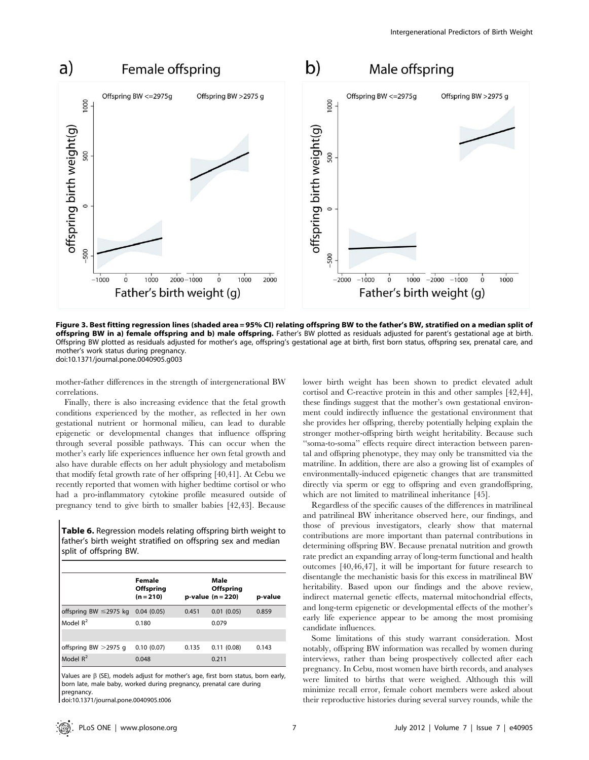

Figure 3. Best fitting regression lines (shaded area = 95% CI) relating offspring BW to the father's BW, stratified on a median split of offspring BW in a) female offspring and b) male offspring. Father's BW plotted as residuals adjusted for parent's gestational age at birth. Offspring BW plotted as residuals adjusted for mother's age, offspring's gestational age at birth, first born status, offspring sex, prenatal care, and mother's work status during pregnancy. doi:10.1371/journal.pone.0040905.g003

mother-father differences in the strength of intergenerational BW correlations.

Finally, there is also increasing evidence that the fetal growth conditions experienced by the mother, as reflected in her own gestational nutrient or hormonal milieu, can lead to durable epigenetic or developmental changes that influence offspring through several possible pathways. This can occur when the mother's early life experiences influence her own fetal growth and also have durable effects on her adult physiology and metabolism that modify fetal growth rate of her offspring [40,41]. At Cebu we recently reported that women with higher bedtime cortisol or who had a pro-inflammatory cytokine profile measured outside of pregnancy tend to give birth to smaller babies [42,43]. Because

Table 6. Regression models relating offspring birth weight to father's birth weight stratified on offspring sex and median split of offspring BW.

|                             | Female<br><b>Offspring</b><br>$(n = 210)$ |       | Male<br>Offspring<br>$p-value (n = 220)$ | p-value |
|-----------------------------|-------------------------------------------|-------|------------------------------------------|---------|
| offspring BW $\leq$ 2975 kg | 0.04(0.05)                                | 0.451 | 0.01(0.05)                               | 0.859   |
| Model R <sup>2</sup>        | 0.180                                     |       | 0.079                                    |         |
|                             |                                           |       |                                          |         |
| offspring BW >2975 g        | 0.10(0.07)                                | 0.135 | 0.11(0.08)                               | 0.143   |
| Model $R^2$                 | 0.048                                     |       | 0.211                                    |         |

Values are  $\beta$  (SE), models adjust for mother's age, first born status, born early, born late, male baby, worked during pregnancy, prenatal care during pregnancy.

doi:10.1371/journal.pone.0040905.t006

lower birth weight has been shown to predict elevated adult cortisol and C-reactive protein in this and other samples [42,44], these findings suggest that the mother's own gestational environment could indirectly influence the gestational environment that she provides her offspring, thereby potentially helping explain the stronger mother-offspring birth weight heritability. Because such ''soma-to-soma'' effects require direct interaction between parental and offspring phenotype, they may only be transmitted via the matriline. In addition, there are also a growing list of examples of environmentally-induced epigenetic changes that are transmitted directly via sperm or egg to offspring and even grandoffspring, which are not limited to matrilineal inheritance [45].

Regardless of the specific causes of the differences in matrilineal and patrilineal BW inheritance observed here, our findings, and those of previous investigators, clearly show that maternal contributions are more important than paternal contributions in determining offspring BW. Because prenatal nutrition and growth rate predict an expanding array of long-term functional and health outcomes [40,46,47], it will be important for future research to disentangle the mechanistic basis for this excess in matrilineal BW heritability. Based upon our findings and the above review, indirect maternal genetic effects, maternal mitochondrial effects, and long-term epigenetic or developmental effects of the mother's early life experience appear to be among the most promising candidate influences.

Some limitations of this study warrant consideration. Most notably, offspring BW information was recalled by women during interviews, rather than being prospectively collected after each pregnancy. In Cebu, most women have birth records, and analyses were limited to births that were weighed. Although this will minimize recall error, female cohort members were asked about their reproductive histories during several survey rounds, while the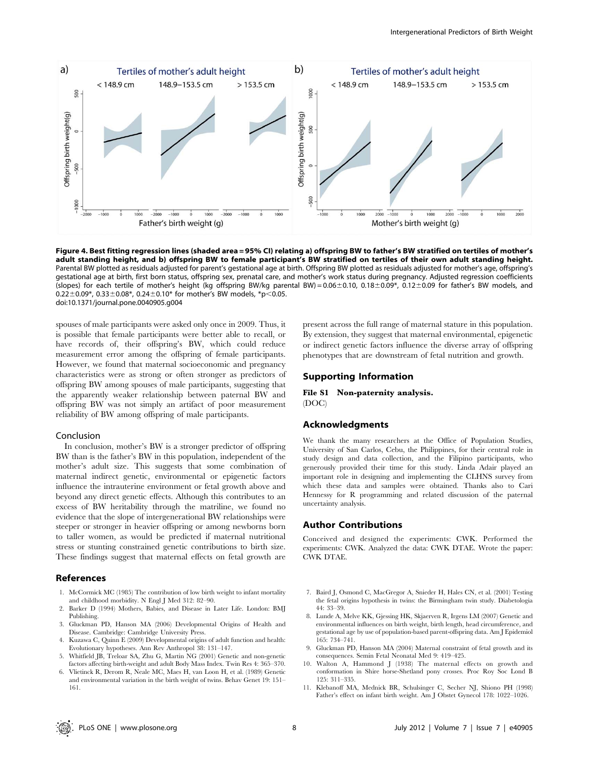

Figure 4. Best fitting regression lines (shaded area = 95% CI) relating a) offspring BW to father's BW stratified on tertiles of mother's adult standing height, and b) offspring BW to female participant's BW stratified on tertiles of their own adult standing height. Parental BW plotted as residuals adjusted for parent's gestational age at birth. Offspring BW plotted as residuals adjusted for mother's age, offspring's gestational age at birth, first born status, offspring sex, prenatal care, and mother's work status during pregnancy. Adjusted regression coefficients (slopes) for each tertile of mother's height (kg offspring BW/kg parental BW) =  $0.06 \pm 0.10$ ,  $0.18 \pm 0.09$ \*,  $0.12 \pm 0.09$  for father's BW models, and 0.22±0.09\*, 0.33±0.08\*, 0.24±0.10\* for mother's BW models, \*p<0.05. doi:10.1371/journal.pone.0040905.g004

spouses of male participants were asked only once in 2009. Thus, it is possible that female participants were better able to recall, or have records of, their offspring's BW, which could reduce measurement error among the offspring of female participants. However, we found that maternal socioeconomic and pregnancy characteristics were as strong or often stronger as predictors of offspring BW among spouses of male participants, suggesting that the apparently weaker relationship between paternal BW and offspring BW was not simply an artifact of poor measurement reliability of BW among offspring of male participants.

## Conclusion

In conclusion, mother's BW is a stronger predictor of offspring BW than is the father's BW in this population, independent of the mother's adult size. This suggests that some combination of maternal indirect genetic, environmental or epigenetic factors influence the intrauterine environment or fetal growth above and beyond any direct genetic effects. Although this contributes to an excess of BW heritability through the matriline, we found no evidence that the slope of intergenerational BW relationships were steeper or stronger in heavier offspring or among newborns born to taller women, as would be predicted if maternal nutritional stress or stunting constrained genetic contributions to birth size. These findings suggest that maternal effects on fetal growth are

## References

- 1. McCormick MC (1985) The contribution of low birth weight to infant mortality and childhood morbidity. N Engl J Med 312: 82–90.
- 2. Barker D (1994) Mothers, Babies, and Disease in Later Life. London: BMJ Publishing.
- 3. Gluckman PD, Hanson MA (2006) Developmental Origins of Health and Disease. Cambridge: Cambridge University Press.
- 4. Kuzawa C, Quinn E (2009) Developmental origins of adult function and health: Evolutionary hypotheses. Ann Rev Anthropol 38: 131–147.
- 5. Whitfield JB, Treloar SA, Zhu G, Martin NG (2001) Genetic and non-genetic factors affecting birth-weight and adult Body Mass Index. Twin Res 4: 365–370.
- 6. Vlietinck R, Derom R, Neale MC, Maes H, van Loon H, et al. (1989) Genetic and environmental variation in the birth weight of twins. Behav Genet 19: 151– 161.

present across the full range of maternal stature in this population. By extension, they suggest that maternal environmental, epigenetic or indirect genetic factors influence the diverse array of offspring phenotypes that are downstream of fetal nutrition and growth.

## Supporting Information

## File S1 Non-paternity analysis. (DOC)

## Acknowledgments

We thank the many researchers at the Office of Population Studies, University of San Carlos, Cebu, the Philippines, for their central role in study design and data collection, and the Filipino participants, who generously provided their time for this study. Linda Adair played an important role in designing and implementing the CLHNS survey from which these data and samples were obtained. Thanks also to Cari Hennessy for R programming and related discussion of the paternal uncertainty analysis.

## Author Contributions

Conceived and designed the experiments: CWK. Performed the experiments: CWK. Analyzed the data: CWK DTAE. Wrote the paper: CWK DTAE.

- 7. Baird J, Osmond C, MacGregor A, Snieder H, Hales CN, et al. (2001) Testing the fetal origins hypothesis in twins: the Birmingham twin study. Diabetologia 44: 33–39.
- 8. Lunde A, Melve KK, Gjessing HK, Skjaerven R, Irgens LM (2007) Genetic and environmental influences on birth weight, birth length, head circumference, and gestational age by use of population-based parent-offspring data. Am J Epidemiol 165: 734–741.
- 9. Gluckman PD, Hanson MA (2004) Maternal constraint of fetal growth and its consequences. Semin Fetal Neonatal Med 9: 419–425.
- 10. Walton A, Hammond J (1938) The maternal effects on growth and conformation in Shire horse-Shetland pony crosses. Proc Roy Soc Lond B 125: 311–335.
- 11. Klebanoff MA, Mednick BR, Schulsinger C, Secher NJ, Shiono PH (1998) Father's effect on infant birth weight. Am J Obstet Gynecol 178: 1022–1026.